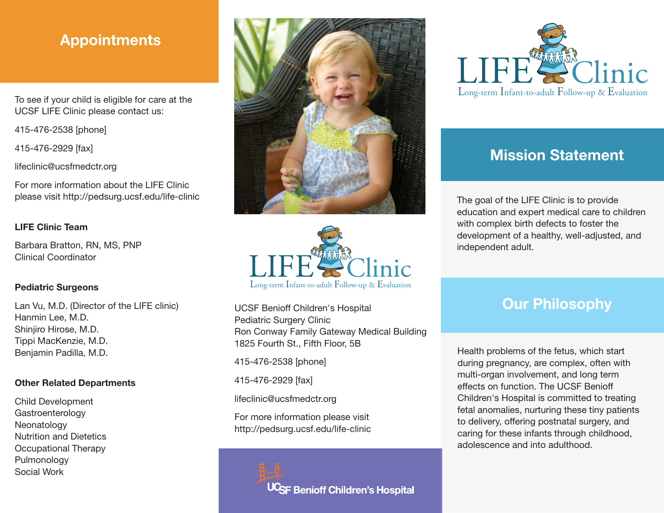## Appointments

To see if your child is eligible for care at the UCSF LIFE Clinic please contact us:

415-476-2538 [phone]

415-476-2929 [fax]

lifeclinic@ucsfmedctr.org

For more information about the LIFE Clinic please visit http://pedsurg.ucsf.edu/life-clinic

### LIFE Clinic Team

Barbara Bratton, RN, MS, PNP Clinical Coordinator

#### Pediatric Surgeons

Lan Vu, M.D. (Director of the LIFE clinic) Hanmin Lee, M.D. Shinjiro Hirose, M.D. Tippi MacKenzie, M.D. Benjamin Padilla, M.D.

#### Other Related Departments

Child Development **Gastroenterology** Neonatology Nutrition and Dietetics Occupational Therapy Pulmonology Social Work





UCSF Benioff Children's Hospital Pediatric Surgery Clinic Ron Conway Family Gateway Medical Building 1825 Fourth St., Fifth Floor, 5B

415-476-2538 [phone]

415-476-2929 [fax]

lifeclinic@ucsfmedctr.org

For more information please visit http://pedsurg.ucsf.edu/life-clinic

<sup>JC</sup>SF Benioff Children's Hospital



# Mission Statement

The goal of the LIFE Clinic is to provide education and expert medical care to children with complex birth defects to foster the development of a healthy, well-adjusted, and independent adult.

## **Our Philosophy**

Health problems of the fetus, which start during pregnancy, are complex, often with multi-organ involvement, and long term effects on function. The UCSF Benioff Children's Hospital is committed to treating fetal anomalies, nurturing these tiny patients to delivery, offering postnatal surgery, and caring for these infants through childhood, adolescence and into adulthood.